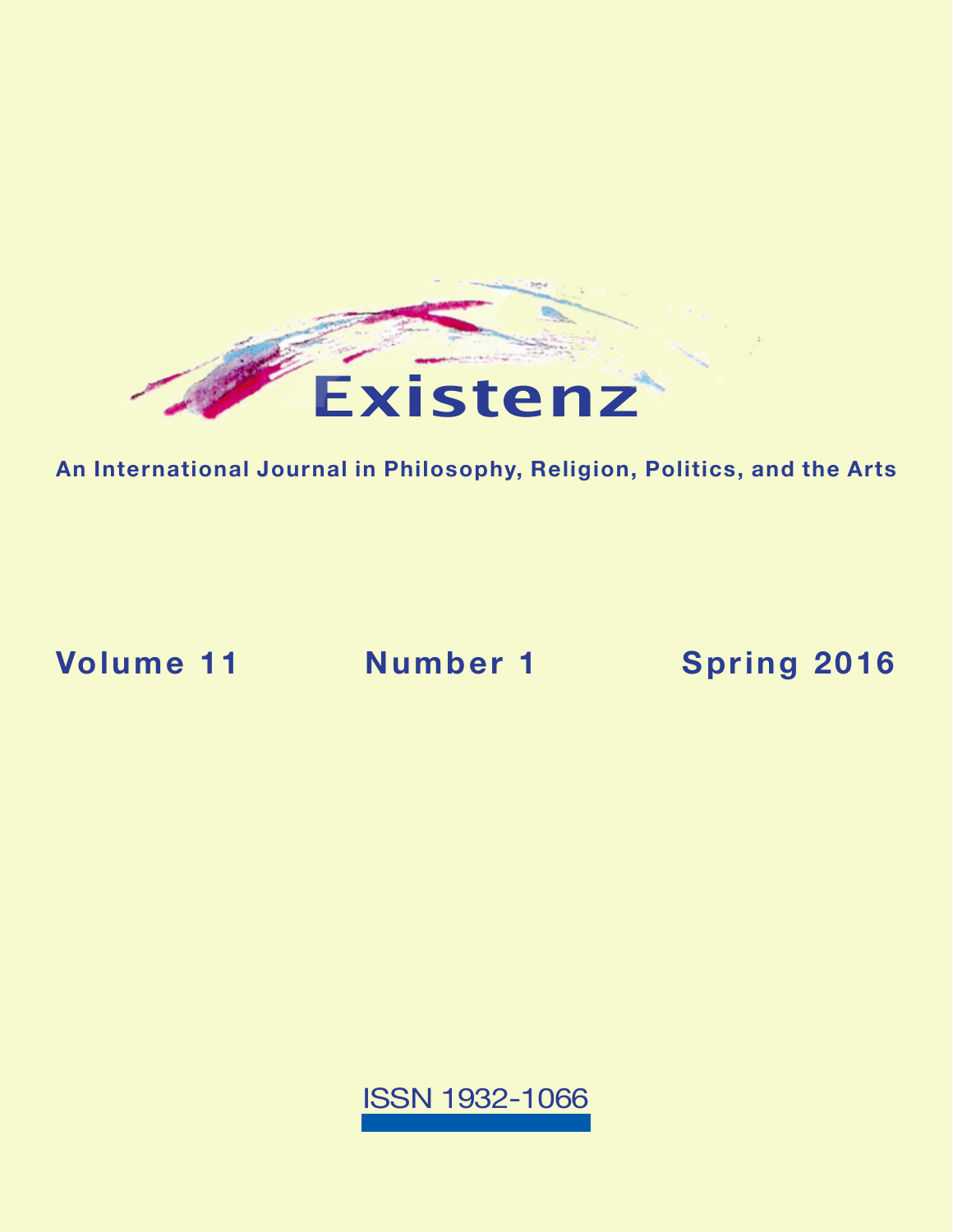

**An International Journal in Philosophy, Religion, Politics, and the Arts**

**Volume 11 Number 1 [Spring 2016](https://existenz.us/volume11No1.html)**

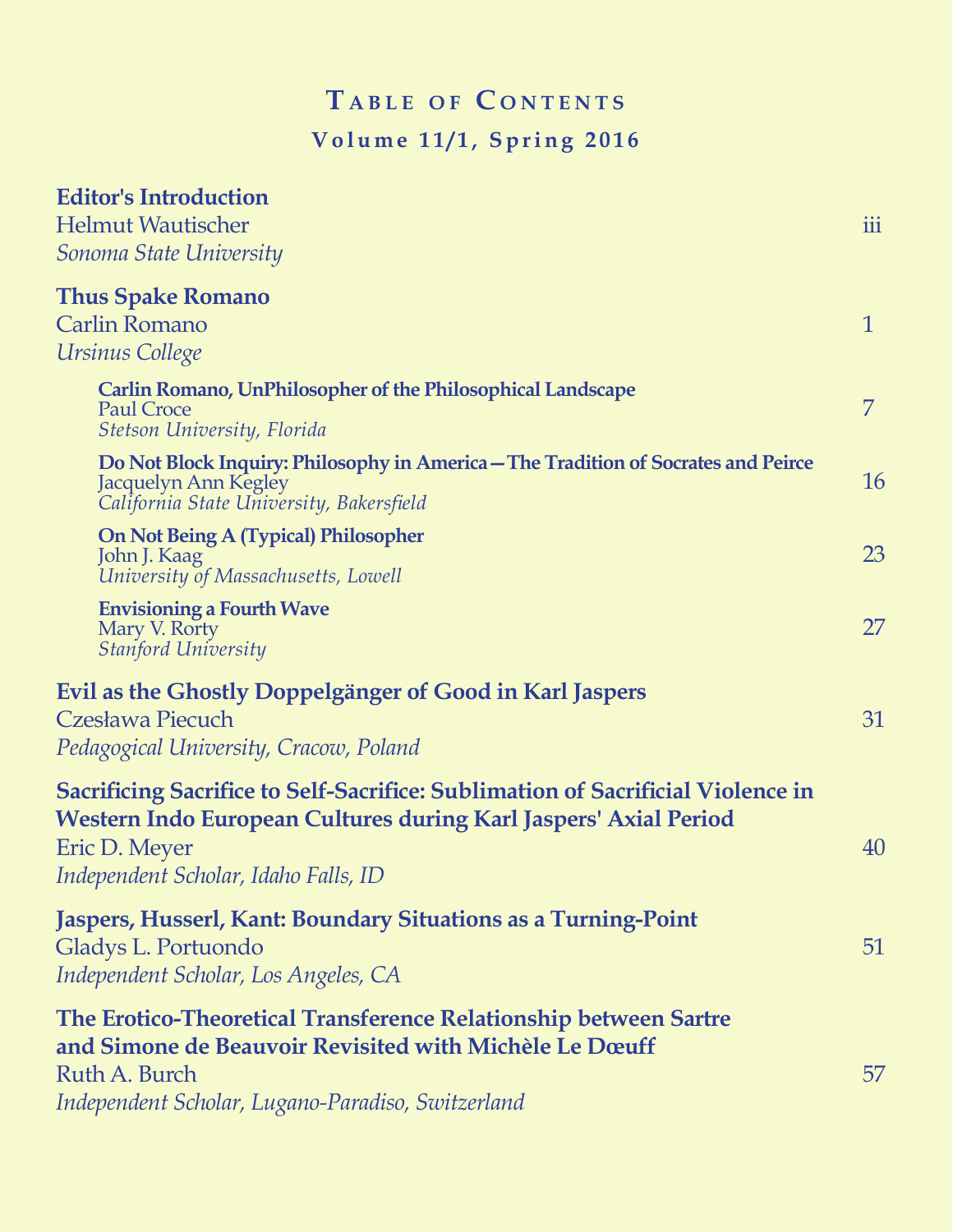# $T$  **a** BLE OF CONTENTS **Volume 11/1, Spring 2016**

| <b>Editor's Introduction</b>                                                                                                                                                                                        |              |
|---------------------------------------------------------------------------------------------------------------------------------------------------------------------------------------------------------------------|--------------|
| <b>Helmut Wautischer</b>                                                                                                                                                                                            | iii          |
| Sonoma State University                                                                                                                                                                                             |              |
| <b>Thus Spake Romano</b>                                                                                                                                                                                            |              |
| <b>Carlin Romano</b>                                                                                                                                                                                                | $\mathbf{1}$ |
| Ursinus College                                                                                                                                                                                                     |              |
| <b>Carlin Romano, UnPhilosopher of the Philosophical Landscape</b><br><b>Paul Croce</b><br>Stetson University, Florida                                                                                              | 7            |
| Do Not Block Inquiry: Philosophy in America – The Tradition of Socrates and Peirce<br>Jacquelyn Ann Kegley<br>California State University, Bakersfield                                                              | 16           |
| <b>On Not Being A (Typical) Philosopher</b><br>John J. Kaag<br>University of Massachusetts, Lowell                                                                                                                  | 23           |
| <b>Envisioning a Fourth Wave</b><br>Mary V. Rorty<br><b>Stanford University</b>                                                                                                                                     | 27           |
| Evil as the Ghostly Doppelgänger of Good in Karl Jaspers<br><b>Czesława Piecuch</b><br>Pedagogical University, Cracow, Poland                                                                                       | 31           |
| <b>Sacrificing Sacrifice to Self-Sacrifice: Sublimation of Sacrificial Violence in</b><br>Western Indo European Cultures during Karl Jaspers' Axial Period<br>Eric D. Meyer<br>Independent Scholar, Idaho Falls, ID | 40           |
| Jaspers, Husserl, Kant: Boundary Situations as a Turning-Point<br>Gladys L. Portuondo<br>Independent Scholar, Los Angeles, CA                                                                                       | 51           |
| The Erotico-Theoretical Transference Relationship between Sartre<br>and Simone de Beauvoir Revisited with Michèle Le Dœuff<br>Ruth A. Burch<br>Independent Scholar, Lugano-Paradiso, Switzerland                    | 57           |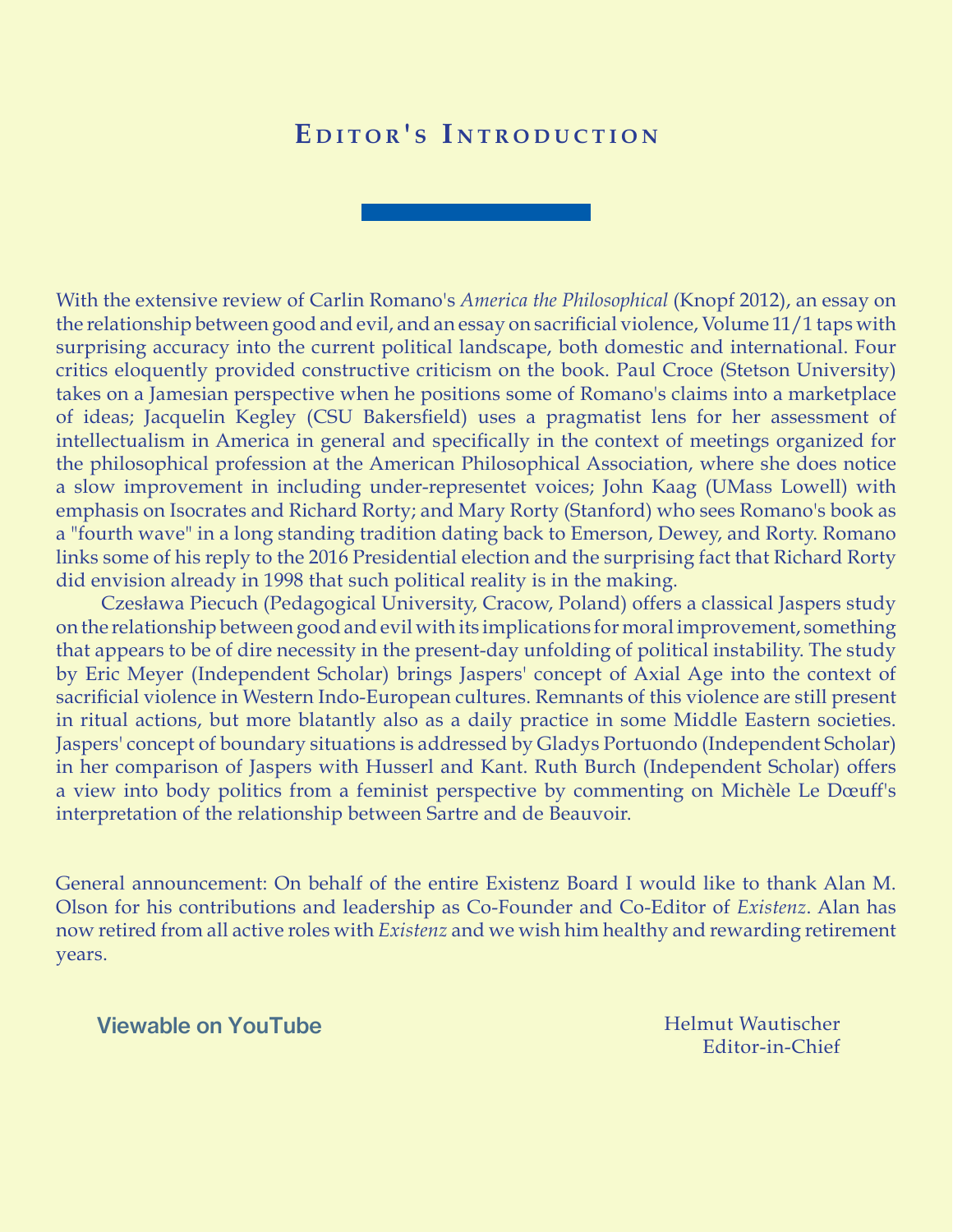# EDITOR'S INTRODUCTION

With the extensive review of Carlin Romano's *America the Philosophical* (Knopf 2012), an essay on the relationship between good and evil, and an essay on sacrificial violence, Volume 11/1 taps with surprising accuracy into the current political landscape, both domestic and international. Four critics eloquently provided constructive criticism on the book. Paul Croce (Stetson University) takes on a Jamesian perspective when he positions some of Romano's claims into a marketplace of ideas; Jacquelin Kegley (CSU Bakersfield) uses a pragmatist lens for her assessment of intellectualism in America in general and specifically in the context of meetings organized for the philosophical profession at the American Philosophical Association, where she does notice a slow improvement in including under-representet voices; John Kaag (UMass Lowell) with emphasis on Isocrates and Richard Rorty; and Mary Rorty (Stanford) who sees Romano's book as a "fourth wave" in a long standing tradition dating back to Emerson, Dewey, and Rorty. Romano links some of his reply to the 2016 Presidential election and the surprising fact that Richard Rorty did envision already in 1998 that such political reality is in the making.

Czesława Piecuch (Pedagogical University, Cracow, Poland) offers a classical Jaspers study on the relationship between good and evil with its implications for moral improvement, something that appears to be of dire necessity in the present-day unfolding of political instability. The study by Eric Meyer (Independent Scholar) brings Jaspers' concept of Axial Age into the context of sacrificial violence in Western Indo-European cultures. Remnants of this violence are still present in ritual actions, but more blatantly also as a daily practice in some Middle Eastern societies. Jaspers' concept of boundary situations is addressed by Gladys Portuondo (Independent Scholar) in her comparison of Jaspers with Husserl and Kant. Ruth Burch (Independent Scholar) offers a view into body politics from a feminist perspective by commenting on Michèle Le Dœuff's interpretation of the relationship between Sartre and de Beauvoir.

General announcement: On behalf of the entire Existenz Board I would like to thank Alan M. Olson for his contributions and leadership as Co-Founder and Co-Editor of *Existenz*. Alan has now retired from all active roles with *Existenz* and we wish him healthy and rewarding retirement years.

[Viewable on YouTube](https://youtu.be/0YCYHdYl8_8)

Helmut Wautischer Editor-in-Chief